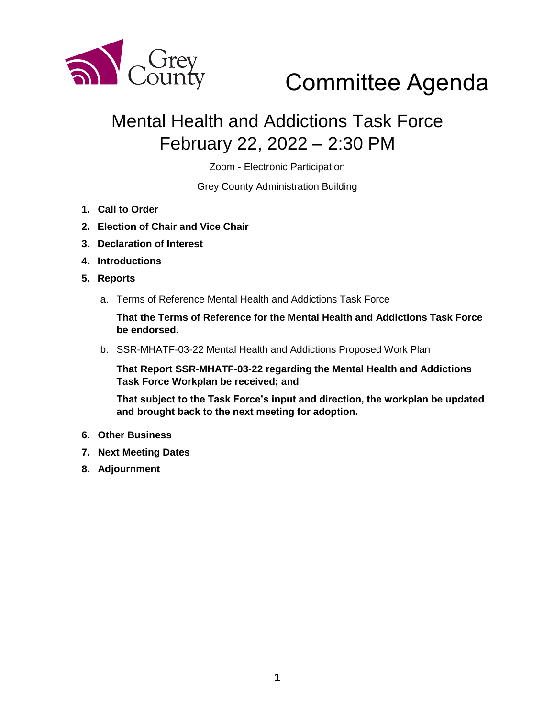

# Committee Agenda

### Mental Health and Addictions Task Force February 22, 2022 – 2:30 PM

Zoom - Electronic Participation

Grey County Administration Building

- **1. Call to Order**
- **2. Election of Chair and Vice Chair**
- **3. Declaration of Interest**
- **4. Introductions**
- **5. Reports** 
	- a. Terms of Reference Mental Health and Addictions Task Force

**That the Terms of Reference for the Mental Health and Addictions Task Force be endorsed.** 

b. SSR-MHATF-03-22 Mental Health and Addictions Proposed Work Plan

**That Report SSR-MHATF-03-22 regarding the Mental Health and Addictions Task Force Workplan be received; and**

**That subject to the Task Force's input and direction, the workplan be updated and brought back to the next meeting for adoption.**

- **6. Other Business**
- **7. Next Meeting Dates**
- **8. Adjournment**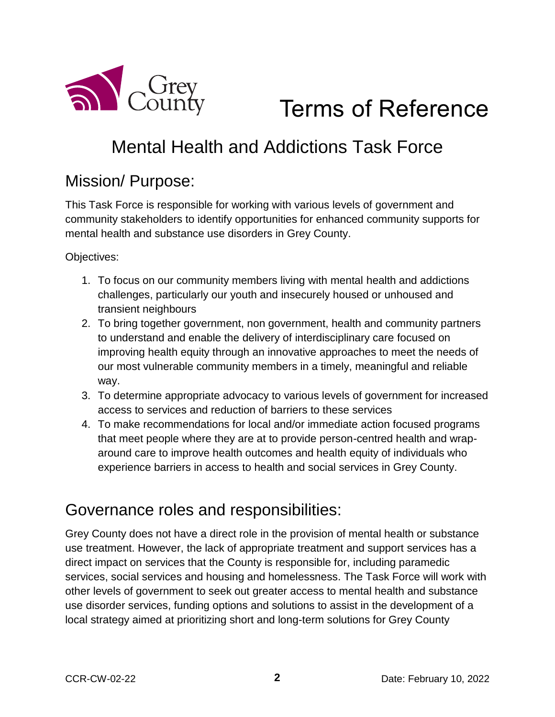

# Terms of Reference

### Mental Health and Addictions Task Force

#### Mission/ Purpose:

This Task Force is responsible for working with various levels of government and community stakeholders to identify opportunities for enhanced community supports for mental health and substance use disorders in Grey County.

Objectives:

- 1. To focus on our community members living with mental health and addictions challenges, particularly our youth and insecurely housed or unhoused and transient neighbours
- 2. To bring together government, non government, health and community partners to understand and enable the delivery of interdisciplinary care focused on improving health equity through an innovative approaches to meet the needs of our most vulnerable community members in a timely, meaningful and reliable way.
- 3. To determine appropriate advocacy to various levels of government for increased access to services and reduction of barriers to these services
- 4. To make recommendations for local and/or immediate action focused programs that meet people where they are at to provide person-centred health and wraparound care to improve health outcomes and health equity of individuals who experience barriers in access to health and social services in Grey County.

#### Governance roles and responsibilities:

Grey County does not have a direct role in the provision of mental health or substance use treatment. However, the lack of appropriate treatment and support services has a direct impact on services that the County is responsible for, including paramedic services, social services and housing and homelessness. The Task Force will work with other levels of government to seek out greater access to mental health and substance use disorder services, funding options and solutions to assist in the development of a local strategy aimed at prioritizing short and long-term solutions for Grey County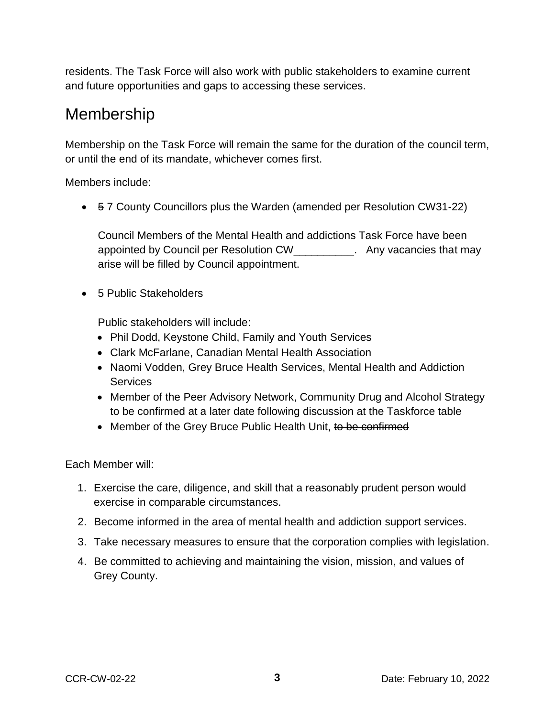residents. The Task Force will also work with public stakeholders to examine current and future opportunities and gaps to accessing these services.

#### Membership

Membership on the Task Force will remain the same for the duration of the council term, or until the end of its mandate, whichever comes first.

Members include:

• 57 County Councillors plus the Warden (amended per Resolution CW31-22)

Council Members of the Mental Health and addictions Task Force have been appointed by Council per Resolution CW\_\_\_\_\_\_\_\_\_\_. Any vacancies that may arise will be filled by Council appointment.

• 5 Public Stakeholders

Public stakeholders will include:

- Phil Dodd, Keystone Child, Family and Youth Services
- Clark McFarlane, Canadian Mental Health Association
- Naomi Vodden, Grey Bruce Health Services, Mental Health and Addiction **Services**
- Member of the Peer Advisory Network, Community Drug and Alcohol Strategy to be confirmed at a later date following discussion at the Taskforce table
- Member of the Grey Bruce Public Health Unit, to be confirmed

Each Member will:

- 1. Exercise the care, diligence, and skill that a reasonably prudent person would exercise in comparable circumstances.
- 2. Become informed in the area of mental health and addiction support services.
- 3. Take necessary measures to ensure that the corporation complies with legislation.
- 4. Be committed to achieving and maintaining the vision, mission, and values of Grey County.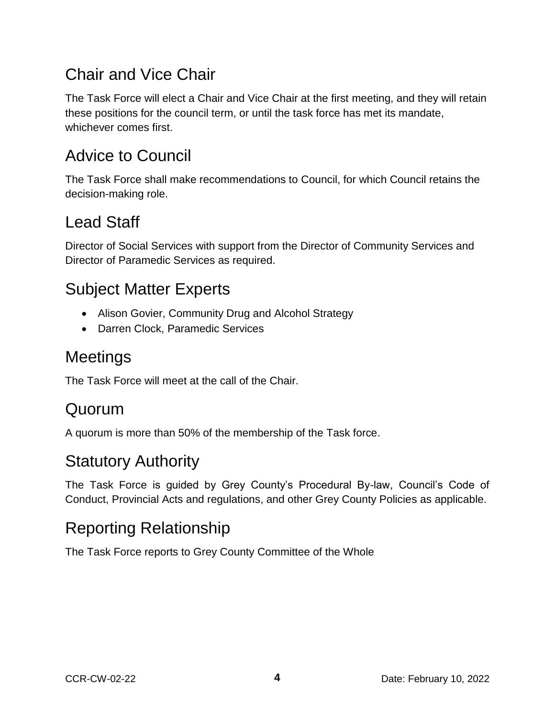#### Chair and Vice Chair

The Task Force will elect a Chair and Vice Chair at the first meeting, and they will retain these positions for the council term, or until the task force has met its mandate, whichever comes first.

#### Advice to Council

The Task Force shall make recommendations to Council, for which Council retains the decision-making role.

#### Lead Staff

Director of Social Services with support from the Director of Community Services and Director of Paramedic Services as required.

#### Subject Matter Experts

- Alison Govier, Community Drug and Alcohol Strategy
- Darren Clock, Paramedic Services

#### Meetings

The Task Force will meet at the call of the Chair.

#### Quorum

A quorum is more than 50% of the membership of the Task force.

#### Statutory Authority

The Task Force is guided by Grey County's Procedural By-law, Council's Code of Conduct, Provincial Acts and regulations, and other Grey County Policies as applicable.

#### Reporting Relationship

The Task Force reports to Grey County Committee of the Whole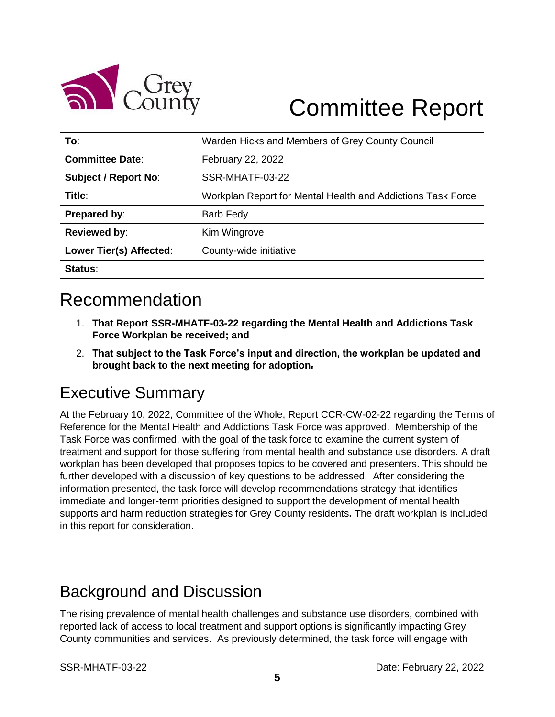

# Committee Report

| To:                         | Warden Hicks and Members of Grey County Council             |
|-----------------------------|-------------------------------------------------------------|
| <b>Committee Date:</b>      | February 22, 2022                                           |
| <b>Subject / Report No:</b> | SSR-MHATF-03-22                                             |
| Title:                      | Workplan Report for Mental Health and Addictions Task Force |
| Prepared by:                | <b>Barb Fedy</b>                                            |
| <b>Reviewed by:</b>         | Kim Wingrove                                                |
| Lower Tier(s) Affected:     | County-wide initiative                                      |
| Status:                     |                                                             |

### Recommendation

- 1. **That Report SSR-MHATF-03-22 regarding the Mental Health and Addictions Task Force Workplan be received; and**
- 2. **That subject to the Task Force's input and direction, the workplan be updated and brought back to the next meeting for adoption.**

#### Executive Summary

At the February 10, 2022, Committee of the Whole, Report CCR-CW-02-22 regarding the Terms of Reference for the Mental Health and Addictions Task Force was approved. Membership of the Task Force was confirmed, with the goal of the task force to examine the current system of treatment and support for those suffering from mental health and substance use disorders. A draft workplan has been developed that proposes topics to be covered and presenters. This should be further developed with a discussion of key questions to be addressed. After considering the information presented, the task force will develop recommendations strategy that identifies immediate and longer-term priorities designed to support the development of mental health supports and harm reduction strategies for Grey County residents**.** The draft workplan is included in this report for consideration.

#### Background and Discussion

The rising prevalence of mental health challenges and substance use disorders, combined with reported lack of access to local treatment and support options is significantly impacting Grey County communities and services. As previously determined, the task force will engage with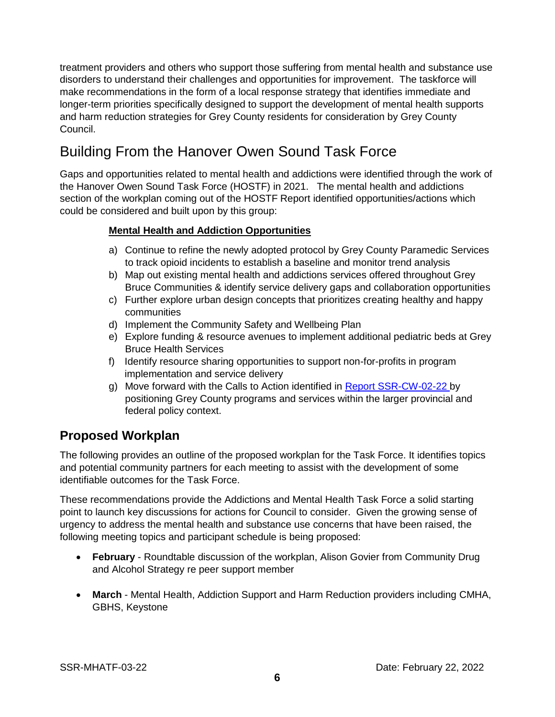treatment providers and others who support those suffering from mental health and substance use disorders to understand their challenges and opportunities for improvement. The taskforce will make recommendations in the form of a local response strategy that identifies immediate and longer-term priorities specifically designed to support the development of mental health supports and harm reduction strategies for Grey County residents for consideration by Grey County Council.

#### Building From the Hanover Owen Sound Task Force

Gaps and opportunities related to mental health and addictions were identified through the work of the Hanover Owen Sound Task Force (HOSTF) in 2021. The mental health and addictions section of the workplan coming out of the HOSTF Report identified opportunities/actions which could be considered and built upon by this group:

#### **Mental Health and Addiction Opportunities**

- a) Continue to refine the newly adopted protocol by Grey County Paramedic Services to track opioid incidents to establish a baseline and monitor trend analysis
- b) Map out existing mental health and addictions services offered throughout Grey Bruce Communities & identify service delivery gaps and collaboration opportunities
- c) Further explore urban design concepts that prioritizes creating healthy and happy communities
- d) Implement the Community Safety and Wellbeing Plan
- e) Explore funding & resource avenues to implement additional pediatric beds at Grey Bruce Health Services
- f) Identify resource sharing opportunities to support non-for-profits in program implementation and service delivery
- g) Move forward with the Calls to Action identified in [Report SSR-CW-02-22 b](https://council.grey.ca/meeting/getPDFRendition?documentObjectId=22d9eefd-6bf2-445d-8599-af789ecd5937)y positioning Grey County programs and services within the larger provincial and federal policy context.

#### **Proposed Workplan**

The following provides an outline of the proposed workplan for the Task Force. It identifies topics and potential community partners for each meeting to assist with the development of some identifiable outcomes for the Task Force.

These recommendations provide the Addictions and Mental Health Task Force a solid starting point to launch key discussions for actions for Council to consider. Given the growing sense of urgency to address the mental health and substance use concerns that have been raised, the following meeting topics and participant schedule is being proposed:

- **February** Roundtable discussion of the workplan, Alison Govier from Community Drug and Alcohol Strategy re peer support member
- **March** Mental Health, Addiction Support and Harm Reduction providers including CMHA, GBHS, Keystone